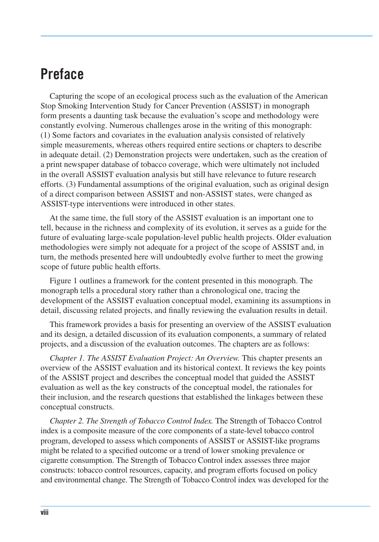## **Preface**

Capturing the scope of an ecological process such as the evaluation of the American Stop Smoking Intervention Study for Cancer Prevention (ASSIST) in monograph form presents a daunting task because the evaluation's scope and methodology were constantly evolving. Numerous challenges arose in the writing of this monograph: (1) Some factors and covariates in the evaluation analysis consisted of relatively simple measurements, whereas others required entire sections or chapters to describe in adequate detail. (2) Demonstration projects were undertaken, such as the creation of a print newspaper database of tobacco coverage, which were ultimately not included in the overall ASSIST evaluation analysis but still have relevance to future research efforts. (3) Fundamental assumptions of the original evaluation, such as original design of a direct comparison between ASSIST and non-ASSIST states, were changed as ASSIST-type interventions were introduced in other states.

At the same time, the full story of the ASSIST evaluation is an important one to tell, because in the richness and complexity of its evolution, it serves as a guide for the future of evaluating large-scale population-level public health projects. Older evaluation methodologies were simply not adequate for a project of the scope of ASSIST and, in turn, the methods presented here will undoubtedly evolve further to meet the growing scope of future public health efforts.

Figure 1 outlines a framework for the content presented in this monograph. The monograph tells a procedural story rather than a chronological one, tracing the development of the ASSIST evaluation conceptual model, examining its assumptions in detail, discussing related projects, and finally reviewing the evaluation results in detail.

 This framework provides a basis for presenting an overview of the ASSIST evaluation and its design, a detailed discussion of its evaluation components, a summary of related projects, and a discussion of the evaluation outcomes. The chapters are as follows:

*Chapter 1. The ASSIST Evaluation Project: An Overview.* This chapter presents an overview of the ASSIST evaluation and its historical context. It reviews the key points of the ASSIST project and describes the conceptual model that guided the ASSIST evaluation as well as the key constructs of the conceptual model, the rationales for their inclusion, and the research questions that established the linkages between these conceptual constructs.

 *Chapter 2. The Strength of Tobacco Control Index.* The Strength of Tobacco Control index is a composite measure of the core components of a state-level tobacco control program, developed to assess which components of ASSIST or ASSIST-like programs might be related to a specified outcome or a trend of lower smoking prevalence or cigarette consumption. The Strength of Tobacco Control index assesses three major constructs: tobacco control resources, capacity, and program efforts focused on policy and environmental change. The Strength of Tobacco Control index was developed for the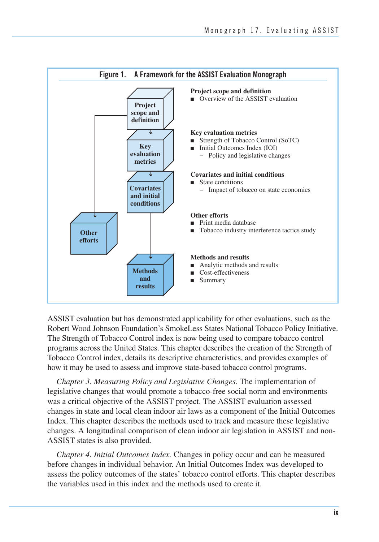

 ASSIST evaluation but has demonstrated applicability for other evaluations, such as the Robert Wood Johnson Foundation's SmokeLess States National Tobacco Policy Initiative. The Strength of Tobacco Control index is now being used to compare tobacco control programs across the United States. This chapter describes the creation of the Strength of Tobacco Control index, details its descriptive characteristics, and provides examples of how it may be used to assess and improve state-based tobacco control programs.

*Chapter 3. Measuring Policy and Legislative Changes.* The implementation of legislative changes that would promote a tobacco-free social norm and environments was a critical objective of the ASSIST project. The ASSIST evaluation assessed changes in state and local clean indoor air laws as a component of the Initial Outcomes Index. This chapter describes the methods used to track and measure these legislative changes. A longitudinal comparison of clean indoor air legislation in ASSIST and non-ASSIST states is also provided.

*Chapter 4. Initial Outcomes Index.* Changes in policy occur and can be measured before changes in individual behavior. An Initial Outcomes Index was developed to assess the policy outcomes of the states' tobacco control efforts. This chapter describes the variables used in this index and the methods used to create it.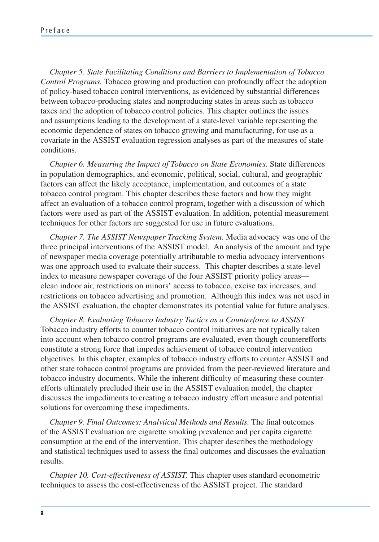*Chapter 5. State Facilitating Conditions and Barriers to Implementation of Tobacco Control Programs.* Tobacco growing and production can profoundly affect the adoption of policy-based tobacco control interventions, as evidenced by substantial differences between tobacco-producing states and nonproducing states in areas such as tobacco taxes and the adoption of tobacco control policies. This chapter outlines the issues and assumptions leading to the development of a state-level variable representing the economic dependence of states on tobacco growing and manufacturing, for use as a covariate in the ASSIST evaluation regression analyses as part of the measures of state conditions.

*Chapter 6. Measuring the Impact of Tobacco on State Economies.* State differences in population demographics, and economic, political, social, cultural, and geographic factors can affect the likely acceptance, implementation, and outcomes of a state tobacco control program. This chapter describes these factors and how they might affect an evaluation of a tobacco control program, together with a discussion of which factors were used as part of the ASSIST evaluation. In addition, potential measurement techniques for other factors are suggested for use in future evaluations.

*Chapter 7. The ASSIST Newspaper Tracking System.* Media advocacy was one of the three principal interventions of the ASSIST model. An analysis of the amount and type of newspaper media coverage potentially attributable to media advocacy interventions was one approach used to evaluate their success. This chapter describes a state-level index to measure newspaper coverage of the four ASSIST priority policy areas clean indoor air, restrictions on minors' access to tobacco, excise tax increases, and restrictions on tobacco advertising and promotion. Although this index was not used in the ASSIST evaluation, the chapter demonstrates its potential value for future analyses.

*Chapter 8. Evaluating Tobacco Industry Tactics as a Counterforce to ASSIST.*  Tobacco industry efforts to counter tobacco control initiatives are not typically taken into account when tobacco control programs are evaluated, even though counterefforts constitute a strong force that impedes achievement of tobacco control intervention objectives. In this chapter, examples of tobacco industry efforts to counter ASSIST and other state tobacco control programs are provided from the peer-reviewed literature and tobacco industry documents. While the inherent difficulty of measuring these counterefforts ultimately precluded their use in the ASSIST evaluation model, the chapter discusses the impediments to creating a tobacco industry effort measure and potential solutions for overcoming these impediments.

 *Chapter 9. Final Outcomes: Analytical Methods and Results.* The final outcomes of the ASSIST evaluation are cigarette smoking prevalence and per capita cigarette consumption at the end of the intervention. This chapter describes the methodology and statistical techniques used to assess the final outcomes and discusses the evaluation results.

*Chapter 10. Cost-effectiveness of ASSIST.* This chapter uses standard econometric techniques to assess the cost-effectiveness of the ASSIST project. The standard